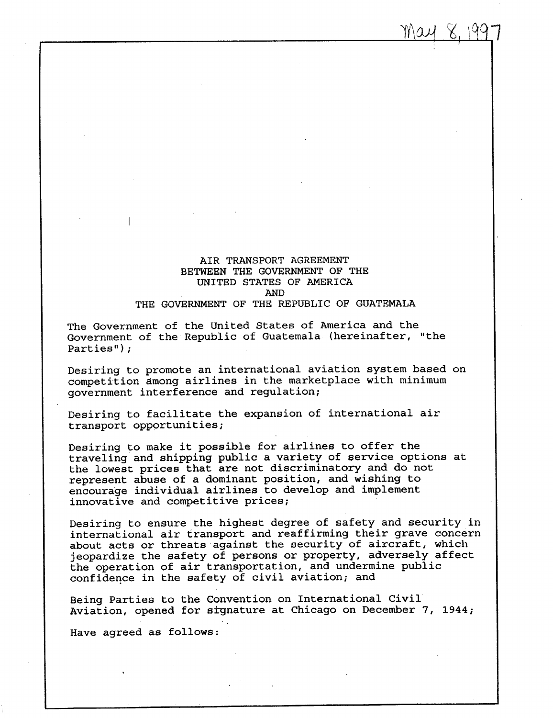AIR TRANSPORT AGREEMENT BETWEEN THE GOVERNMENT OF THE UNITED STATES OF AMERICA AND THE GOVERNMENT OF THE REPUBLIC OF GUATEMALA

The Government of the United States of America and the Government of the Republic of Guatemala (hereinafter, "the Parties") ;

Desiring to promote an international aviation system based on competition among airlines in the marketplace with minimum government interference and regulation;

Desiring to facilitate the expansion of international air transport opportunities ;

Desiring to make it possible for airlines to offer the traveling and shipping public a variety of service options at the lowest prices that are not discriminatory and do not represent abuse of a dominant position, and wishing to encourage individual airlines to develop and implement innovative and competitive prices ;

Desiring to ensure the highest degree of safety and security in international air transport and reaffirming their grave concern about acts or threats against the security of aircraft, which jeopardize the safety of persons or property, adversely affect the operation of air transportation, and undermine public confidence in the safety of civil aviation; and

Being Parties to the Convention on International Civil Aviation, opened for signature at Chicago on December 7, 1944 ;

Have agreed as follows :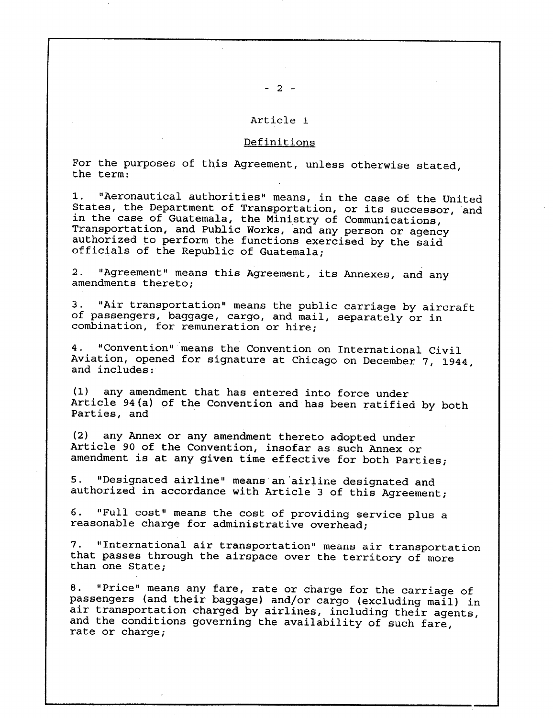# Article 1

# Definitions

For the purposes of this Agreement, unless otherwise stated, the term :

<sup>1</sup> . "Aeronautical authorities" means, in the case of the United States, the Department of Transportation, or its successor, and in the case of Guatemala, the Ministry of Communications, Transportation, and Public Works, and any person or agency authorized to perform the functions exercised by the said officials of the Republic of Guatemala ;

2 . "Agreement" means this Agreement, its Annexes, and any amendments thereto ;

<sup>3</sup> . "Air transportation" means the public carriage by aircraft of passengers, baggage, cargo, and mail, separately or in combination, for remuneration or hire;

<sup>4</sup> . "Convention" means the Convention on International Civil Aviation, opened for signature at Chicago on December 7, 1944, and includes :

(1) any amendment that has entered into force under Article 94(a) of the Convention and has been ratified by both Parties, and

(2) any Annex or any amendment thereto adopted under Article 90 of the Convention, insofar as such Annex or amendment is at any given time effective for both Parties;

5 . "Designated airline" means an'airlire designated and authorized in accordance with Article 3 of this Agreement ;

<sup>6</sup> . "Full cost" means the cost of providing service plus a reasonable charge for administrative overhead;

<sup>7</sup> . "International air transportation" means air transportation that passes through the airspace over the territory of more than one State;

8. "Price" means any fare, rate or charge for the carriage of passengers (and their baggage) and/or cargo (excluding mail) in air transportation charged by airlines, including their agents, and the conditions governing the availability of such fare, rate or charge;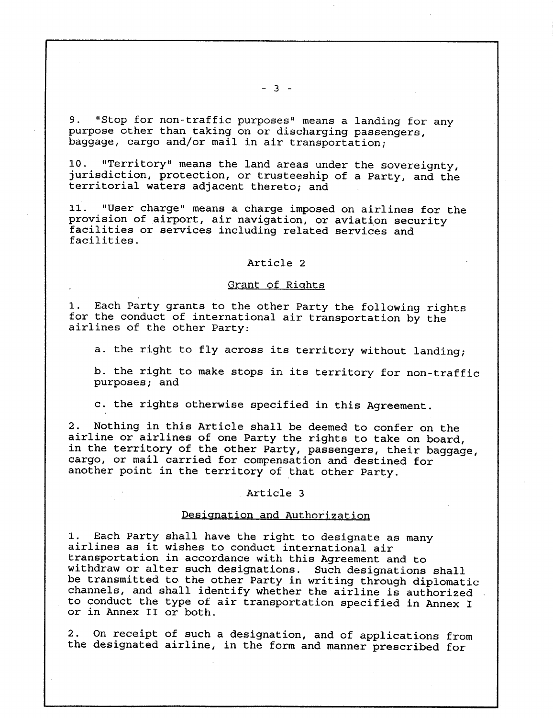9. "Stop for non-traffic purposes" means a landing for any purpose other than taking on or discharging passengers, baggage, cargo and/or mail in air transportation;

10 . "Territory" means the land areas under the sovereignty, jurisdiction, protection, or trusteeship of a Party, and the territorial waters adjacent thereto; and

11 . "User charge" means a charge imposed on airlines for the provision of airport, air navigation, or aviation security facilities or services including related services and facilities .

## Article 2

## Grant of Rights

1. Each Party grants to the other Party the following rights for the conduct of international air transportation by the airlines of the other Party:

a. the right to fly across its territory without landing;

b. the right to make stops in its territory for non-traffic purposes; and

c. the rights otherwise specified in this Agreement.

2 . Nothing in this Article shall be deemed to confer on the airline or airlines of one Party the rights to take on board, in the territory of the other Party, passengers, their baggage, cargo, or mail carried for compensation and destined for another point in the territory of that other Party.

## Article 3

## Designation and Authorization

1. Each Party shall have the right to designate as many airlines as it wishes to conduct international air transportation in accordance with this Agreement and to withdraw or alter such designations . Such designations shall be transmitted to the other Party in writing through diplomatic channels, and shall identify whether the airline is authorized to conduct the type of air transportation specified in Annex I or in Annex II or both .

<sup>2</sup> . On receipt of such a designation, and of applications from the designated airline, in the form and manner prescribed for

 $- 3 -$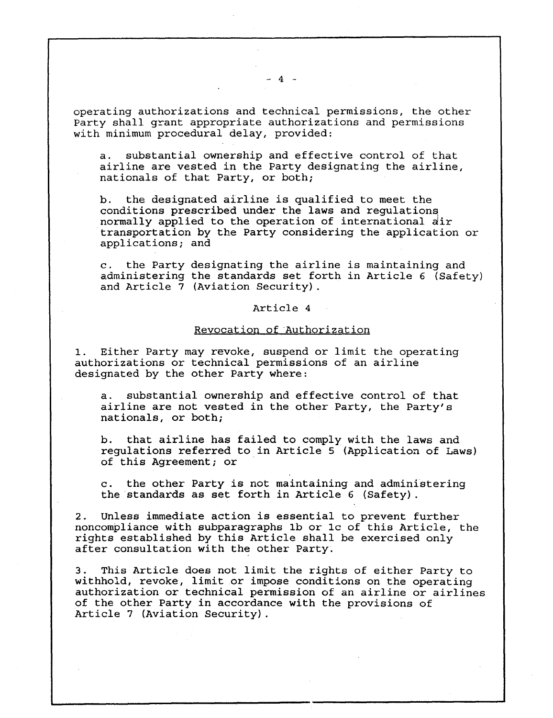$-4-$ 

operating authorizations and technical permissions, the other Party shall grant appropriate authorizations and permissions with minimum procedural delay, provided:

a. substantial ownership and effective control of that airline are vested in the Party designating the airline, nationals of that Party, or both;

b. the designated airline is qualified to meet the conditions prescribed under the laws and regulations, normally applied to the operation of international air transportation by the Party considering the application or applications; and

c. the Party designating the airline is maintaining and administering the standards set forth in Article 6 (Safety) and Article 7 (Aviation Security) .

## Article 4

# Revocation of Authorization

1. Either Party may revoke, suspend or limit the operating authorizations or technical permissions of an airline designated by the other Party where:

a. substantial ownership and effective control of that airline are not vested in the other Party, the Party's nationals, or both;

b. that airline has failed to comply with the laws and regulations referred to in Article 5 (Application of Laws) of this Agreement; or

c. the other Party is not maintaining and administering the standards as set forth in Article 6 (Safety) .

2. Unless immediate action is essential to prevent further noncompliance with subparagraphs lb or lc of this Article, the rights established by this Article shall be exercised only after consultation with the other Party.

<sup>3</sup> . This Article does not limit the rights of either Party to withhold, revoke, limit or impose conditions on the operating authorization or technical permission of an airline or airlines of the other Party in accordance with the provisions of Article 7 (Aviation Security) .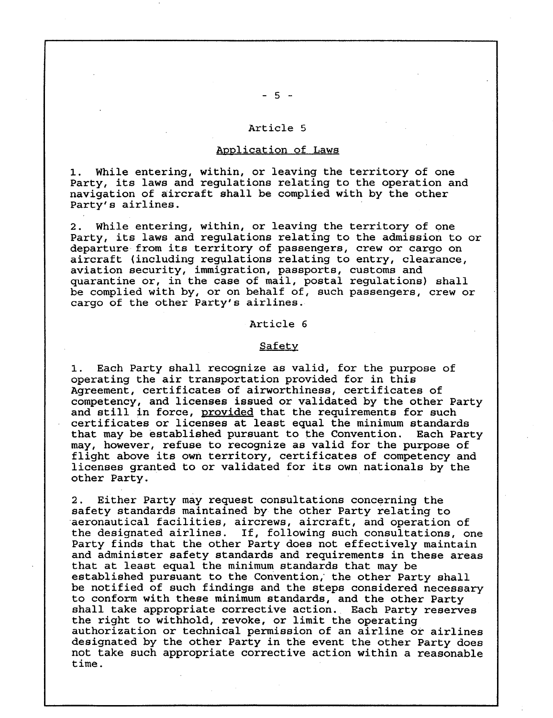## Article 5

## Application of Laws

While entering, within, or leaving the territory of one Party, its laws and regulations relating to the operation and navigation of aircraft shall be complied with by the other Party's airlines .

2. While entering, within, or leaving the territory of one Party, its laws and regulations relating to the admission to or departure from its territory of passengers, crew or cargo on aircraft (including regulations relating to entry, clearance, aviation security, immigration, passports, customs and quarantine or, in the case of mail, postal regulations) shall be complied with by, or on behalf of, such passengers, crew or cargo of the other Party's airlines .

## Article 6

## Safety

1. Each Party shall recognize as valid, for the purpose of operating the air transportation provided for in this Agreement, certificates of airworthiness, certificates of competency, and licenses issued or validated by the other Party and still in force, provided that the requirements for such certificates or licenses at least equal the minimum standards that may be established pursuant to the Convention. may, however, refuse to recognize as valid for the purpose of flight above its own territory, certificates of competency and licenses granted to or validated for its own nationals by the other Party .

2. Either Party may request consultations concerning the safety standards maintained by the other Party relating to aeronautical facilities, aircrews, aircraft, and operation of the designated airlines. If, following such consultations, one Party finds that the other Party does not effectively maintain and administer safety standards and requirements in these areas that at least equal the minimum standards that may be established pursuant to the Convention,' the other Party shall be notified of such findings and the steps considered necessary to conform with these minimum standards, and the other Party shall take appropriate corrective action. Each Party reserves the right to withhold, revoke, or limit the operating authorization or technical permission of an airline or airlines designated by the other Party in the event the other Party does not take such appropriate corrective action within a reasonable time .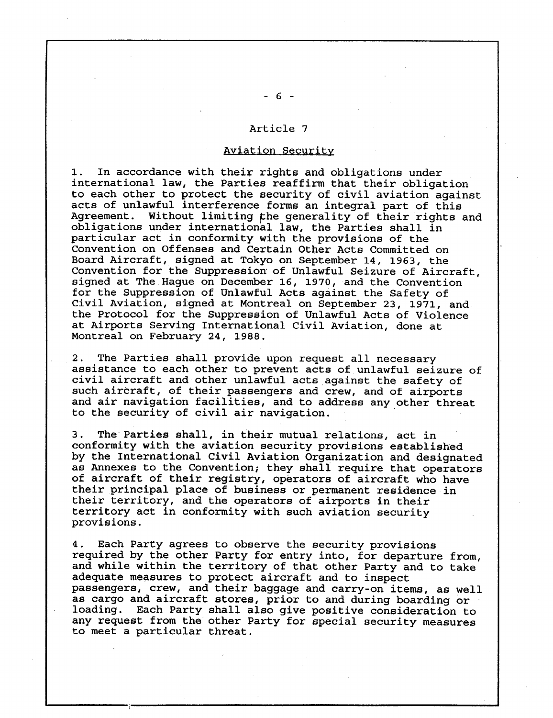## Article 7

## Aviation Security

<sup>1</sup> . In accordance with their rights and obligations under international law, the Parties reaffirm that their obligation to each other to protect the security of civil aviation against acts of unlawful interference forms an integral part of this Agreement. Without limiting the generality of their rights and obligations under international law, the Parties shall in particular act in conformity with the provisions of the Convention on Offenses and Certain Other Acts Committed on Board Aircraft, signed at Tokyo on September 14, 1963, the Convention for the Suppression of Unlawful Seizure of Aircraft, signed at The Hague on December 16, 1970, and the Convention for the Suppression of Unlawful Acts against the Safety of Civil Aviation, signed at Montreal on September 23, 1971, and the Protocol for the Suppression of Unlawful Acts of Violence at Airports Serving International Civil Aviation, done at Montreal on February 24, 1988 .

2. The Parties shall provide upon request all necessary assistance to each other to prevent acts of unlawful seizure of civil aircraft and other unlawful acts against the safety of such aircraft, of their passengers and crew, and of airports and air navigation facilities, and to address any other threat to the security of civil air navigation.

<sup>3</sup> . The Parties shall, in their mutual relations, act in conformity with the aviation security provisions established by the International Civil Aviation Organization and designated as Annexes to the Convention; they shall require that operators of aircraft of their registry, operators of aircraft who have their principal place of business or permanent residence in their territory, and the operators of airports in their territory act in conformity with such aviation security provisions .

4 . Each Party agrees to observe the security provisions required by the other Party for entry into, for departure from, and while within the territory of that other Party and to take adequate measures to protect aircraft and to inspect passengers, crew, and their baggage and carry-on items, as well as cargo and aircraft stores, prior to and during boarding or<br>loading. Each Party shall also give positive consideration to Each Party shall also give positive consideration to any request from the other Party for special security measures to meet a particular threat .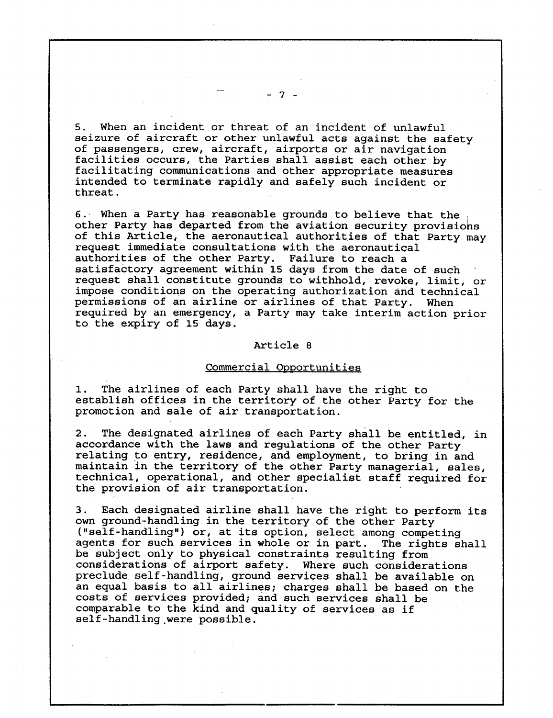<sup>5</sup> . When an incident or threat of an incident of unlawful seizure of aircraft or other unlawful acts against the safety of passengers, crew, aircraft, airports or air navigation facilities occurs, the Parties shall assist each other by facilitating communications and other appropriate measures intended to terminate rapidly and safely such incident or threat .

6. When a Party has reasonable grounds to believe that the other Party has departed from the aviation security provisions of this Article, the aeronautical authorities of that Party may request immediate consultations with the aeronautical authorities of the other Party. Failure to reach a satisfactory agreement within 15 days from the date of such request shall constitute grounds to withhold, revoke, limit, or impose conditions on the operating authorization and technical<br>permissions of an airline or airlines of that Party. When permissions of an airline or airlines of that Party. required by an emergency, a Party may take interim action prior to the expiry of 15 days .

#### Article 8

## Commercial Opportunities

1. The airlines of each Party shall have the right to establish offices in the territory of the other Party for the promotion and sale of air transportation.

2. The designated airlines of each Party shall be entitled, in accordance with the laws and regulations of the other Party relating to entry, residence, and employment, to bring in and maintain in the territory of the other Party managerial, sales, technical, operational, and other specialist staff required for the provision of air transportation.

<sup>3</sup> . Each designated airline shall have the right to perform its own ground-handling in the territory of the other Party ("self-handling") or, at its option, select among competing agents for such services in whole or in part. The rights shall be subject only to physical constraints resulting from considerations of airport safety. Where such considerations preclude self-handling, ground services shall be available on an equal basis to all airlines; charges shall be based on the costs of services provided; and such services shall be comparable to the kind and quality of services as if self-handling, were possible .

7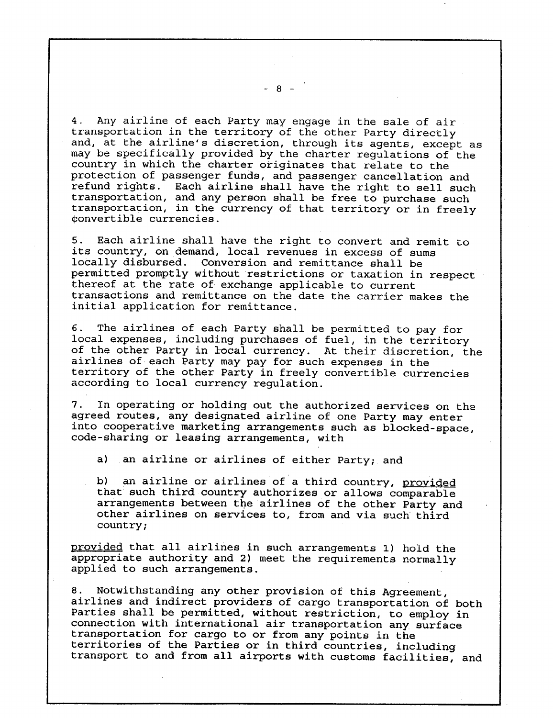4 . Any airline of each Party may engage in the sale of air transportation in the territory of the other Party directly and, at the airline's discretion, through its agents, except as may be specifically provided by the charter regulations of the country in which the charter originates that relate to the protection of passenger funds, and passenger cancellation and refund rights. Each airline shall have the right to sell such transportation, and any person shall be free to purchase such transportation, in the currency of that territory or in freely Oonvertible currencies .

<sup>5</sup> . Each airline shall have the right to convert and remit to its country, on demand, local revenues in excess of sums locally disbursed. Conversion and remittance shall be permitted promptly without restrictions or taxation in respect thereof at the rate of-exchange applicable to current transactions and remittance on the date the carrier makes the initial application for remittance .

<sup>6</sup> . The airlines of each Party shall be permitted to pay for local expenses, including purchases of fuel, in the territory of the other Party in local currency. At their discretion, the airlines of each Party may pay for such expenses in the territory of the other Party in freely convertible currencies according to local currency regulation.

<sup>7</sup> . In operating or holding out the authorized services on the agreed routes, any designated airline of one Party may enter into cooperative marketing arrangements such as blocked-space, code-sharing or leasing arrangements, with

a) an airline or airlines of either Party; and

b) an airline or airlines of a third country, provided that such third country authorizes or allows comparable arrangements between the airlines of the other Party and other airlines on services to, from and via such third country ;

provided that all airlines in such arrangements 1) hold the appropriate authority and 2) meet the requirements normally applied to such arrangements .

8. Notwithstanding any other provision of this Agreement, airlines and indirect providers of cargo transportation of both Parties shall be permitted, without restriction, to employ in connection with international air transportation any surface transportation for cargo to or from any points in the territories of the Parties or in third countries, including transport to and from all airports with customs facilities, and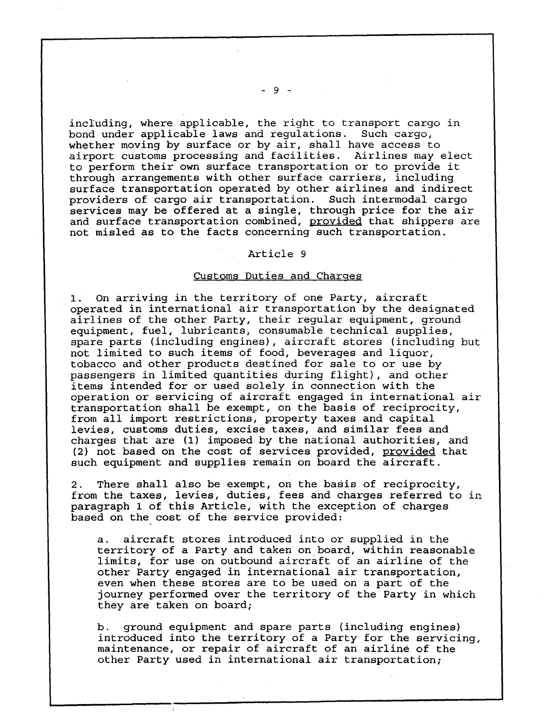including, where applicable, the right to transport cargo in bond under applicable laws and regulations. Such cargo, whether moving by surface or by air, shall have access to airport customs processing and facilities. Airlines may elect to perform their own surface transportation or to provide it through arrangements with other surface carriers, including surface transportation operated by other airlines and indirect providers of cargo air transportation. Such intermodal cargo services may be offered at a single, through price for the air and surface transportation combined, provided that shippers are not misled as to the facts concerning such transportation .

## Article 9

## Customs Duties and Charges

1. On arriving in the territory of one Party, aircraft operated in international air transportation by the designated airlines of the other Party, their regular equipment, ground equipment, fuel, lubricants, consumable technical supplies, spare parts (including engines), aircraft stores (including but not limited to such items of food, beverages and liquor, tobacco and other products destined for sale to or use by passengers in limited quantities during flight), and other items intended for or used solely in connection with the operation or servicing of aircraft engaged in international air transportation shall be exempt, on the basis of reciprocity, from all import restrictions, property taxes and capital levies, customs duties, excise taxes, and similar fees and charges that are (1) imposed by the national authorities, and (2) not based on the cost of services provided, provided that such equipment and supplies remain on board the aircraft .

2. There shall also be exempt, on the basis of reciprocity, from the taxes, levies, duties, fees and charges referred to in paragraph 1 of this Article, with the exception of charges based on the cost of the service provided:

a. aircraft stores introduced into or supplied in the territory of a Party and taken on board, within reasonable limits, for use on outbound aircraft of an airline of the other Party engaged in international air transportation, even when these stores are to be used on a part of the journey performed over the territory of the Party in which they are taken on board;

b. ground equipment and spare parts (including engines) introduced into the territory of a Party for the servicing, maintenance, or repair of aircraft of an airline of the other Party used in international air transportation;

- 9 -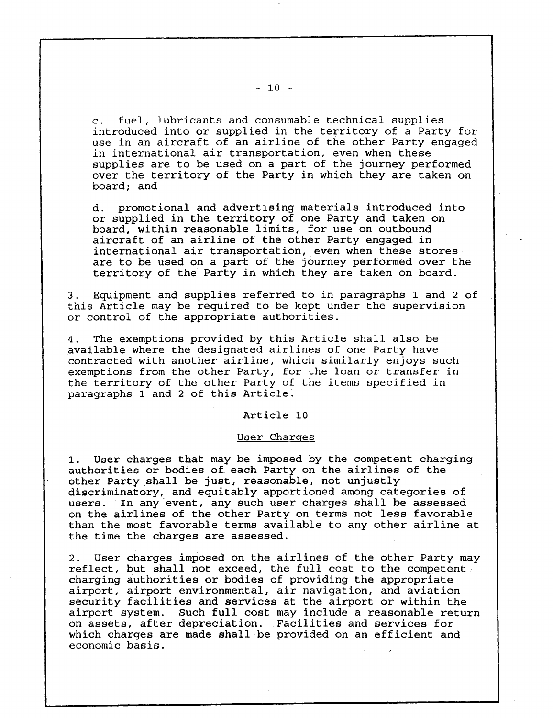<sup>c</sup> . fuel, lubricants and consumable technical supplies introduced into or supplied in the territory of a Party for use in an aircraft of an airline of the other Party engaged in international air transportation, even when these supplies are to be used on a part of the journey performed over the territory of the Party in which they are taken on board; and

d. promotional and advertising materials introduced into or supplied in the territory of one Party and taken on board, within reasonable limits, for use on outbound aircraft of an airline of the other Party engaged in international air transportation, even when these stores are to be used on a part of the journey performed over the territory of the Party in which they are taken on board .

<sup>3</sup> . Equipment and supplies referred to in paragraphs 1 and 2 of this Article may be required to be kept under the supervision or control of the appropriate authorities .

<sup>4</sup> . The exemptions provided by this Article shall also be available where the designated airlines of one Party have contracted with another airline, which similarly enjoys such exemptions from the other Party, for the loan or transfer in the territory of the other Party of the items specified in paragraphs 1 and 2 of this Article .

### Article 10

## User Charges

1. User charges that may be imposed by the competent charging authorities or bodies of each Party on the airlines of the other Party shall be just, reasonable, not unjustly discriminatory, and equitably apportioned among categories of users. In any event, any such user charges shall be assessed on the airlines of the other Party on terms not less favorable than the most favorable terms available to any other airline at the time the charges are assessed .

2. User charges imposed on the airlines of the other Party may reflect, but shall not exceed, the full cost to the competent : charging authorities or bodies of providing the appropriate airport, airport environmental, air navigation, and aviation security facilities and services at the airport or within the airport system. Such full cost may include a reasonable return on assets, after depreciation. Facilities and services for which charges are made shall be provided on an efficient and economic basis .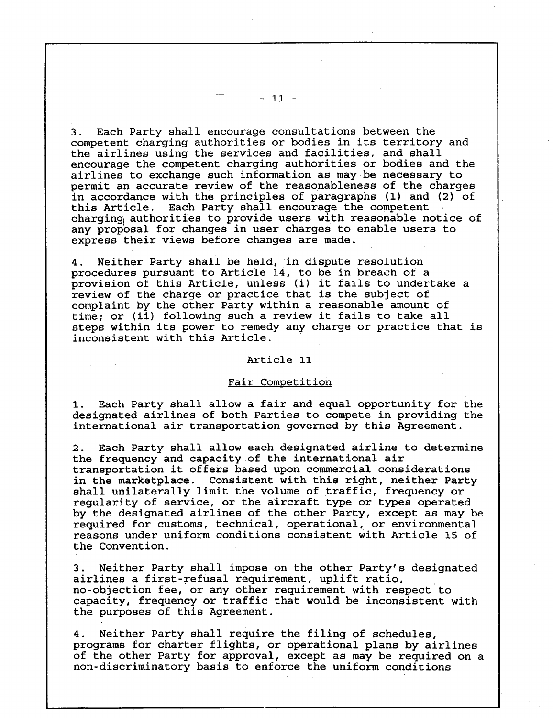<sup>3</sup> . Each Party shall encourage consultations between the competent charging authorities or bodies in its territory and the airlines using the services and facilities, and shall encourage the competent charging authorities or bodies and the airlines to exchange such information as may be necessary to permit an accurate review of the reasonableness of the charges in accordance with the principles of paragraphs (1) and (2) of this Article. Each Party shall encourage the competent charging authorities to provide users with reasonable notice of any proposal for changes in user charges to enable users to express their views before changes are made .

<sup>4</sup> . Neither Party shall be held, in dispute resolution procedures pursuant to Article 14, to be in breach of a provision of this Article, unless (i) it fails to undertake a review of the charge or practice that is the subject of complaint by the other Party within a reasonable amount of time; or (ii) following such a review it fails to take all steps within its power to remedy any charge or practice that is inconsistent with this Article .

# Article 11

## Fair Competition

1. Each Party shall allow a fair and equal opportunity for the designated airlines of both Parties to compete in providing the international air transportation governed by this Agreement .

.2 . Each Party shall allow each designated airline to determine the frequency and capacity of the international air transportation it offers based upon commercial considerations in the marketplace. Consistent with this right, neither Party shall unilaterally limit the volume of traffic, frequency or regularity of service, or the aircraft type or types operated by the designated airlines of the other Party, except as may be required for customs, technical, operational, or environmental reasons under uniform conditions consistent with Article 15 of the Convention .

<sup>3</sup> . Neither Party shall impose on the other Party's designated airlines a first-refusal requirement, uplift ratio, no-objection fee, or any other requirement with respect to capacity, frequency or traffic that would be inconsistent with the purposes of this Agreement .

<sup>4</sup> . Neither Party shall require the filing of schedules, programs for charter flights, or operational plans by airlines of the other Party for approval, except as may be required on a non-discriminatory basis to enforce the uniform conditions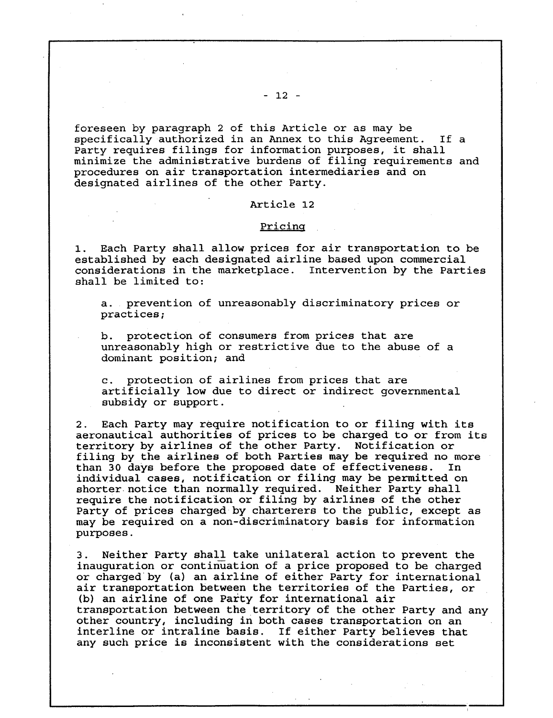foreseen by paragraph 2 of this Article or as may be specifically authorized in an Annex to this Agreement. If a Party requires filings for information purposes, it shall minimize the administrative burdens of filing requirements and procedures on air transportation intermediaries and on designated airlines of the other Party.

## Article 12

#### Pricing

1. Each Party shall allow prices for air transportation to be established by each designated airline based upon commercial considerations in the marketplace. Intervention by the Parties shall be limited to:

a. prevention of unreasonably discriminatory prices or practices ;

b. protection of consumers from prices that are unreasonably high or restrictive due to the abuse of a dominant position; and

protection of airlines from prices that are artificially low due to direct or indirect governmental subsidy or support .

2. Each Party may require notification to or filing with its aeronautical authorities of prices to be charged to or from its territory by airlines of the other Party. Notification or filing by the airlines of both Parties may be required no more<br>than 30 days before the proposed date of effectiveness. In than 30 days before the proposed date of effectiveness. individual cases, notification or filing may be permitted on shorter notice than normally required. Neither Party shall require the notification or filing by airlines of the other Party of prices charged by charterers to the public, except as may be required on a non-discriminatory basis for information purposes .

3 . Neither Party shall take unilateral action to prevent the inauguration or continuation of a price proposed to be charged or charged'by (a) an airline of either Party for international air transportation between the territories of the Parties, or (b) an airline of one Party for international air transportation between the territory of the other Party and any other country, including in both cases transportation on an interline or intraline basis. If either Party believes that any such price is inconsistent with the considerations set

### $-12 -$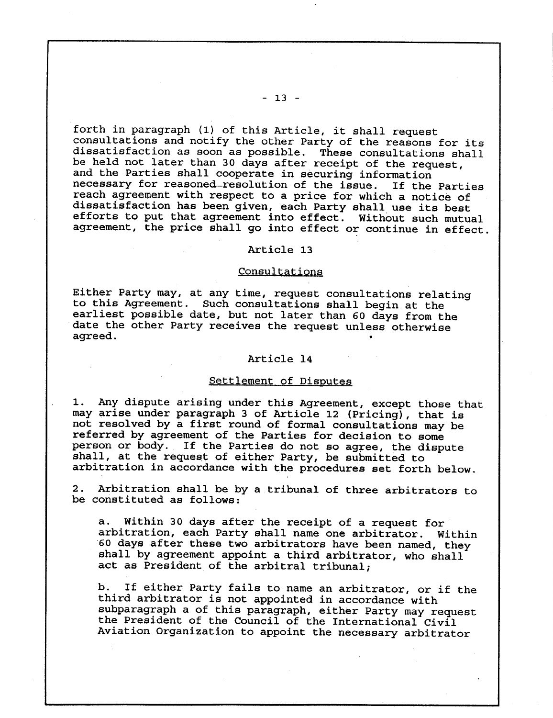forth in paragraph (1) of this Article, it shall request consultations and notify the other Party of the reasons for its dissatisfaction as soon as possible. These consultations shall be held not later than 30 days after receipt of the request, and the Parties shall cooperate in securing information necessary for reasoned-resolution of the issue . If the Parties reach agreement with respect to a price for which a notice of dissatisfaction has been given, each Party shall use its best efforts to put that agreement into effect. Without such mutual agreement, the price shall go into effect or continue in effect .

## Article 13

#### **Consultations**

Either Party may, at any time, request consultations relating to this Agreement. Such consultations shall begin at the earliest possible date, but not later than 60 days from the date the other Party receives the request unless otherwise agreed .

## Article 14

#### Settlement of Disputes

1 . Any dispute arising under this Agreement, except those that may arise under paragraph 3 of Article 12 (Pricing), that is not resolved by a first round of formal consultations may be referred by agreement of the Parties for decision to some person or body. If the Parties do not so agree, the dispute shall, at the request of either Party, be submitted to arbitration in accordance with the procedures set forth below.

2. Arbitration shall be by a tribunal of three arbitrators to be constituted as follows :

a. Within 30 days after the receipt of a request for arbitration, each Party shall name one arbitrator. Within '60 days after these two arbitrators have been named, they shall by agreement appoint a third arbitrator, who shall act as President of the arbitral tribunal;

b. If either Party fails to name an arbitrator, or if the third arbitrator is not appointed in accordance with subparagraph a of this paragraph, either Party may request the President of the Council of the International Civil Aviation Organization to appoint the necessary arbitrator